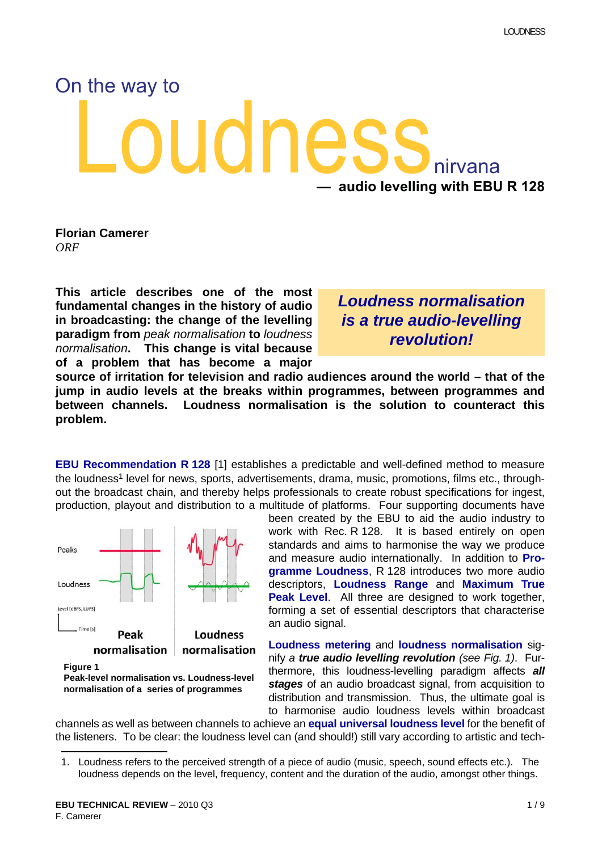# oudnes On the way to nirvana **— audio levelling with EBU R 128**

**Florian Camerer** *ORF*

**This article describes one of the most fundamental changes in the history of audio in broadcasting: the change of the levelling paradigm from** *peak normalisation* **to** *loudness normalisation***. This change is vital because of a problem that has become a major**

*Loudness normalisation is a true audio-levelling revolution!*

**source of irritation for television and radio audiences around the world – that of the jump in audio levels at the breaks within programmes, between programmes and between channels. Loudness normalisation is the solution to counteract this problem.**

**EBU Recommendation R 128** [\[1\]](#page-7-0) establishes a predictable and well-defined method to measure the loudness<sup>1</sup> level for news, sports, advertisements, drama, music, promotions, films etc., throughout the broadcast chain, and thereby helps professionals to create robust specifications for ingest, production, playout and distribution to a multitude of platforms. Four supporting documents have



**Figure 1**

been created by the EBU to aid the audio industry to work with Rec. R 128. It is based entirely on open standards and aims to harmonise the way we produce and measure audio internationally. In addition to **Programme Loudness**, R 128 introduces two more audio descriptors, **Loudness Range** and **Maximum True Peak Level**. All three are designed to work together, forming a set of essential descriptors that characterise an audio signal.

**Loudness metering** and **loudness normalisation** signify *a true audio levelling revolution (see Fig. 1)*. Furthermore, this loudness-levelling paradigm affects *all stages* of an audio broadcast signal, from acquisition to distribution and transmission. Thus, the ultimate goal is to harmonise audio loudness levels within broadcast

channels as well as between channels to achieve an **equal universal loudness level** for the benefit of the listeners. To be clear: the loudness level can (and should!) still vary according to artistic and tech-

**Peak-level normalisation vs. Loudness-level normalisation of a series of programmes**

<sup>1.</sup> Loudness refers to the perceived strength of a piece of audio (music, speech, sound effects etc.). The loudness depends on the level, frequency, content and the duration of the audio, amongst other things.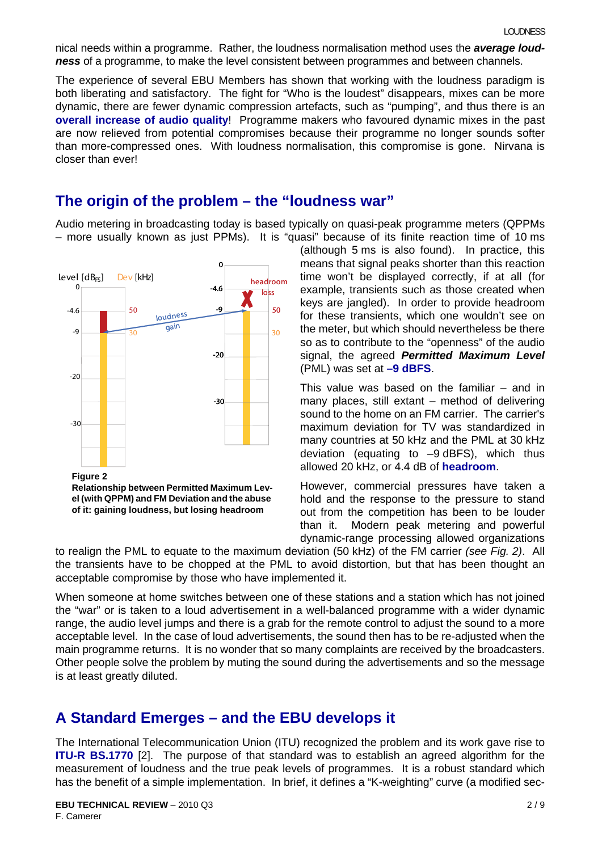nical needs within a programme. Rather, the loudness normalisation method uses the *average loudness* of a programme, to make the level consistent between programmes and between channels.

The experience of several EBU Members has shown that working with the loudness paradigm is both liberating and satisfactory. The fight for "Who is the loudest" disappears, mixes can be more dynamic, there are fewer dynamic compression artefacts, such as "pumping", and thus there is an **overall increase of audio quality**! Programme makers who favoured dynamic mixes in the past are now relieved from potential compromises because their programme no longer sounds softer than more-compressed ones. With loudness normalisation, this compromise is gone. Nirvana is closer than ever!

#### **The origin of the problem – the "loudness war"**

Audio metering in broadcasting today is based typically on quasi-peak programme meters (QPPMs – more usually known as just PPMs). It is "quasi" because of its finite reaction time of 10 ms



(although 5 ms is also found). In practice, this means that signal peaks shorter than this reaction time won't be displayed correctly, if at all (for example, transients such as those created when keys are jangled). In order to provide headroom for these transients, which one wouldn't see on the meter, but which should nevertheless be there so as to contribute to the "openness" of the audio signal, the agreed *Permitted Maximum Level* (PML) was set at **–9 dBFS**.

This value was based on the familiar  $-$  and in many places, still extant – method of delivering sound to the home on an FM carrier. The carrier's maximum deviation for TV was standardized in many countries at 50 kHz and the PML at 30 kHz deviation (equating to –9 dBFS), which thus allowed 20 kHz, or 4.4 dB of **headroom**.

However, commercial pressures have taken a hold and the response to the pressure to stand out from the competition has been to be louder than it. Modern peak metering and powerful dynamic-range processing allowed organizations

to realign the PML to equate to the maximum deviation (50 kHz) of the FM carrier *(see Fig. 2)*. All the transients have to be chopped at the PML to avoid distortion, but that has been thought an acceptable compromise by those who have implemented it.

When someone at home switches between one of these stations and a station which has not joined the "war" or is taken to a loud advertisement in a well-balanced programme with a wider dynamic range, the audio level jumps and there is a grab for the remote control to adjust the sound to a more acceptable level. In the case of loud advertisements, the sound then has to be re-adjusted when the main programme returns. It is no wonder that so many complaints are received by the broadcasters. Other people solve the problem by muting the sound during the advertisements and so the message is at least greatly diluted.

#### **A Standard Emerges – and the EBU develops it**

The International Telecommunication Union (ITU) recognized the problem and its work gave rise to **ITU-R BS.1770** [\[2\].](#page-8-0) The purpose of that standard was to establish an agreed algorithm for the measurement of loudness and the true peak levels of programmes. It is a robust standard which has the benefit of a simple implementation. In brief, it defines a "K-weighting" curve (a modified sec-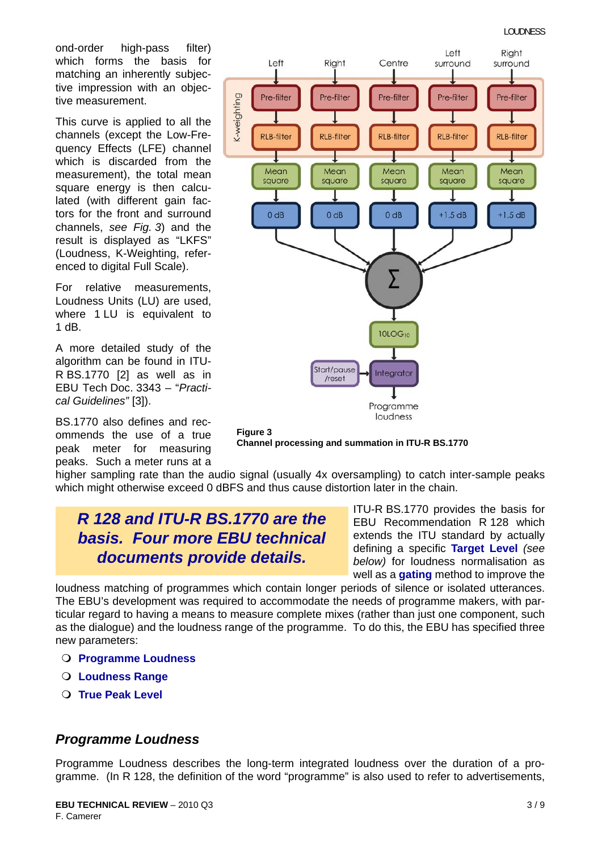ond-order high-pass filter) which forms the basis for matching an inherently subjective impression with an objective measurement.

This curve is applied to all the channels (except the Low-Frequency Effects (LFE) channel which is discarded from the measurement), the total mean square energy is then calculated (with different gain factors for the front and surround channels, *see Fig. 3*) and the result is displayed as "LKFS" (Loudness, K-Weighting, referenced to digital Full Scale).

For relative measurements, Loudness Units (LU) are used, where 1 LU is equivalent to 1 dB.

A more detailed study of the algorithm can be found in ITU-R BS.1770 [\[2\]](#page-8-0) as well as in EBU Tech Doc. 3343 – "*Practical Guidelines"* [\[3\]\)](#page-8-1).

BS.1770 also defines and recommends the use of a true peak meter for measuring peaks. Such a meter runs at a





higher sampling rate than the audio signal (usually 4x oversampling) to catch inter-sample peaks which might otherwise exceed 0 dBFS and thus cause distortion later in the chain.

# *R 128 and ITU-R BS.1770 are the basis. Four more EBU technical documents provide details.*

ITU-R BS.1770 provides the basis for EBU Recommendation R 128 which extends the ITU standard by actually defining a specific **Target Level** *(see below)* for loudness normalisation as well as a **gating** method to improve the

loudness matching of programmes which contain longer periods of silence or isolated utterances. The EBU's development was required to accommodate the needs of programme makers, with particular regard to having a means to measure complete mixes (rather than just one component, such as the dialogue) and the loudness range of the programme. To do this, the EBU has specified three new parameters:

- **Programme Loudness**
- **Loudness Range**
- **True Peak Level**

#### *Programme Loudness*

Programme Loudness describes the long-term integrated loudness over the duration of a programme. (In R 128, the definition of the word "programme" is also used to refer to advertisements,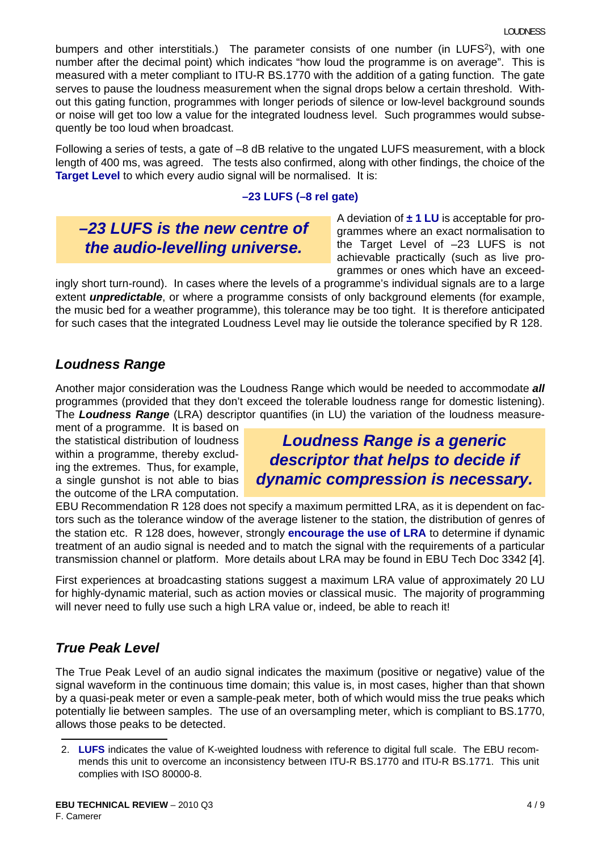bumpers and other interstitials.) The parameter consists of one number (in LUFS<sup>2</sup>), with one number after the decimal point) which indicates "how loud the programme is on average". This is measured with a meter compliant to ITU-R BS.1770 with the addition of a gating function. The gate serves to pause the loudness measurement when the signal drops below a certain threshold. Without this gating function, programmes with longer periods of silence or low-level background sounds or noise will get too low a value for the integrated loudness level. Such programmes would subsequently be too loud when broadcast.

Following a series of tests, a gate of -8 dB relative to the ungated LUFS measurement, with a block length of 400 ms, was agreed. The tests also confirmed, along with other findings, the choice of the **Target Level** to which every audio signal will be normalised. It is:

#### **–23 LUFS (–8 rel gate)**

# *–23 LUFS is the new centre of the audio-levelling universe.*

A deviation of **± 1 LU** is acceptable for programmes where an exact normalisation to the Target Level of –23 LUFS is not achievable practically (such as live programmes or ones which have an exceed-

ingly short turn-round). In cases where the levels of a programme's individual signals are to a large extent *unpredictable*, or where a programme consists of only background elements (for example, the music bed for a weather programme), this tolerance may be too tight. It is therefore anticipated for such cases that the integrated Loudness Level may lie outside the tolerance specified by R 128.

#### *Loudness Range*

Another major consideration was the Loudness Range which would be needed to accommodate *all* programmes (provided that they don't exceed the tolerable loudness range for domestic listening). The *Loudness Range* (LRA) descriptor quantifies (in LU) the variation of the loudness measure-

ment of a programme. It is based on the statistical distribution of loudness within a programme, thereby excluding the extremes. Thus, for example, a single gunshot is not able to bias the outcome of the LRA computation.

*Loudness Range is a generic descriptor that helps to decide if dynamic compression is necessary.*

EBU Recommendation R 128 does not specify a maximum permitted LRA, as it is dependent on factors such as the tolerance window of the average listener to the station, the distribution of genres of the station etc. R 128 does, however, strongly **encourage the use of LRA** to determine if dynamic treatment of an audio signal is needed and to match the signal with the requirements of a particular transmission channel or platform. More details about LRA may be found in EBU Tech Doc 3342 [\[4\]](#page-8-2).

First experiences at broadcasting stations suggest a maximum LRA value of approximately 20 LU for highly-dynamic material, such as action movies or classical music. The majority of programming will never need to fully use such a high LRA value or, indeed, be able to reach it!

#### *True Peak Level*

The True Peak Level of an audio signal indicates the maximum (positive or negative) value of the signal waveform in the continuous time domain; this value is, in most cases, higher than that shown by a quasi-peak meter or even a sample-peak meter, both of which would miss the true peaks which potentially lie between samples. The use of an oversampling meter, which is compliant to BS.1770, allows those peaks to be detected.

<sup>2.</sup> **LUFS** indicates the value of K-weighted loudness with reference to digital full scale. The EBU recommends this unit to overcome an inconsistency between ITU-R BS.1770 and ITU-R BS.1771. This unit complies with ISO 80000-8.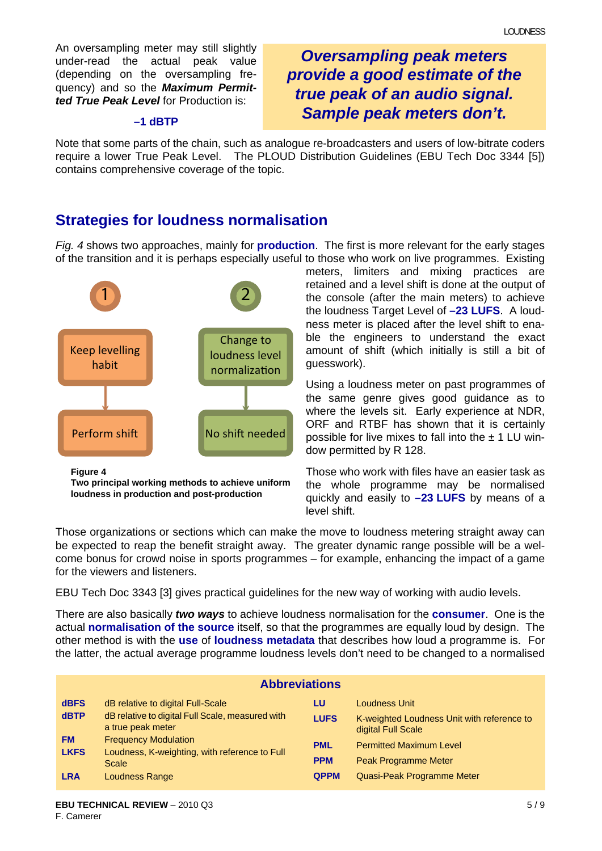An oversampling meter may still slightly under-read the actual peak value (depending on the oversampling frequency) and so the *Maximum Permitted True Peak Level* for Production is:

#### **–1 dBTP**

*Oversampling peak meters provide a good estimate of the true peak of an audio signal. Sample peak meters don't.*

Note that some parts of the chain, such as analogue re-broadcasters and users of low-bitrate coders require a lower True Peak Level. The PLOUD Distribution Guidelines (EBU Tech Doc 3344 [\[5\]](#page-8-3)) contains comprehensive coverage of the topic.

# **Strategies for loudness normalisation**

*Fig. 4* shows two approaches, mainly for **production**. The first is more relevant for the early stages of the transition and it is perhaps especially useful to those who work on live programmes. Existing



**Figure 4 Two principal working methods to achieve uniform loudness in production and post-production**

meters, limiters and mixing practices are retained and a level shift is done at the output of the console (after the main meters) to achieve the loudness Target Level of **–23 LUFS**. A loudness meter is placed after the level shift to enable the engineers to understand the exact amount of shift (which initially is still a bit of guesswork).

Using a loudness meter on past programmes of the same genre gives good guidance as to where the levels sit. Early experience at NDR, ORF and RTBF has shown that it is certainly possible for live mixes to fall into the  $\pm$  1 LU window permitted by R 128.

Those who work with files have an easier task as the whole programme may be normalised quickly and easily to **–23 LUFS** by means of a level shift.

Those organizations or sections which can make the move to loudness metering straight away can be expected to reap the benefit straight away. The greater dynamic range possible will be a welcome bonus for crowd noise in sports programmes – for example, enhancing the impact of a game for the viewers and listeners.

EBU Tech Doc 3343 [\[3\]](#page-8-1) gives practical guidelines for the new way of working with audio levels.

There are also basically *two ways* to achieve loudness normalisation for the **consumer**. One is the actual **normalisation of the source** itself, so that the programmes are equally loud by design. The other method is with the **use** of **loudness metadata** that describes how loud a programme is. For the latter, the actual average programme loudness levels don't need to be changed to a normalised

| <b>Abbreviations</b> |                                                                       |             |                                                                  |
|----------------------|-----------------------------------------------------------------------|-------------|------------------------------------------------------------------|
| <b>dBFS</b>          | dB relative to digital Full-Scale                                     | LU          | Loudness Unit                                                    |
| <b>dBTP</b>          | dB relative to digital Full Scale, measured with<br>a true peak meter | <b>LUFS</b> | K-weighted Loudness Unit with reference to<br>digital Full Scale |
| <b>FM</b>            | <b>Frequency Modulation</b>                                           | <b>PML</b>  | <b>Permitted Maximum Level</b>                                   |
| <b>LKFS</b>          | Loudness, K-weighting, with reference to Full<br>Scale                | <b>PPM</b>  | <b>Peak Programme Meter</b>                                      |
| <b>LRA</b>           | Loudness Range                                                        | <b>QPPM</b> | Quasi-Peak Programme Meter                                       |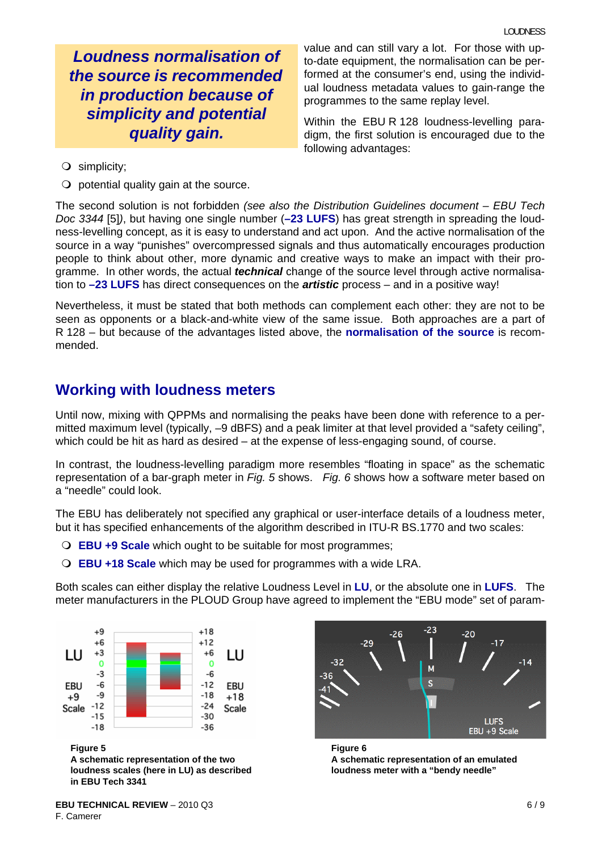*Loudness normalisation of the source is recommended in production because of simplicity and potential quality gain.*

value and can still vary a lot. For those with upto-date equipment, the normalisation can be performed at the consumer's end, using the individual loudness metadata values to gain-range the programmes to the same replay level.

Within the EBU R 128 loudness-levelling paradigm, the first solution is encouraged due to the following advantages:

- simplicity;
- $\bigcirc$  potential quality gain at the source.

The second solution is not forbidden *(see also the Distribution Guidelines document – EBU Tech Doc 3344* [\[5\]](#page-8-3)*)*, but having one single number (**–23 LUFS**) has great strength in spreading the loudness-levelling concept, as it is easy to understand and act upon. And the active normalisation of the source in a way "punishes" overcompressed signals and thus automatically encourages production people to think about other, more dynamic and creative ways to make an impact with their programme. In other words, the actual *technical* change of the source level through active normalisation to **–23 LUFS** has direct consequences on the *artistic* process – and in a positive way!

Nevertheless, it must be stated that both methods can complement each other: they are not to be seen as opponents or a black-and-white view of the same issue. Both approaches are a part of R 128 – but because of the advantages listed above, the **normalisation of the source** is recommended.

#### **Working with loudness meters**

Until now, mixing with QPPMs and normalising the peaks have been done with reference to a permitted maximum level (typically, –9 dBFS) and a peak limiter at that level provided a "safety ceiling", which could be hit as hard as desired – at the expense of less-engaging sound, of course.

In contrast, the loudness-levelling paradigm more resembles "floating in space" as the schematic representation of a bar-graph meter in *Fig. 5* shows. *Fig. 6* shows how a software meter based on a "needle" could look.

The EBU has deliberately not specified any graphical or user-interface details of a loudness meter, but it has specified enhancements of the algorithm described in ITU-R BS.1770 and two scales:

- **EBU +9 Scale** which ought to be suitable for most programmes;
- **EBU +18 Scale** which may be used for programmes with a wide LRA.

Both scales can either display the relative Loudness Level in **LU**, or the absolute one in **LUFS**. The meter manufacturers in the PLOUD Group have agreed to implement the "EBU mode" set of param-



**Figure 5**

**A schematic representation of the two loudness scales (here in LU) as described in EBU Tech 3341**



**Figure 6 A schematic representation of an emulated loudness meter with a "bendy needle"**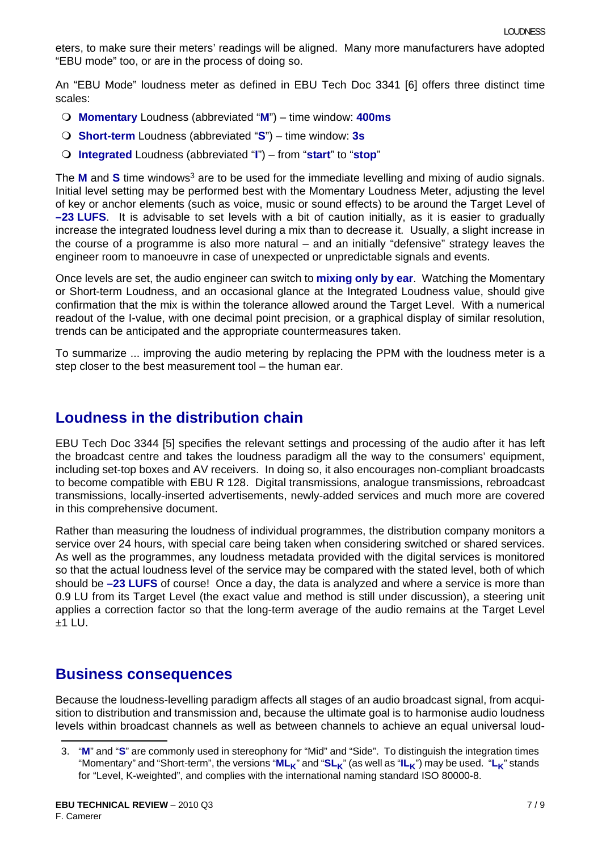eters, to make sure their meters' readings will be aligned. Many more manufacturers have adopted "EBU mode" too, or are in the process of doing so.

An "EBU Mode" loudness meter as defined in EBU Tech Doc 3341 [\[6\]](#page-8-4) offers three distinct time scales:

- **Momentary** Loudness (abbreviated "**M**") time window: **400ms**
- **Short-term** Loudness (abbreviated "**S**") time window: **3s**
- **Integrated** Loudness (abbreviated "**I**") from "**start**" to "**stop**"

The **M** and **S** time windows<sup>3</sup> are to be used for the immediate levelling and mixing of audio signals. Initial level setting may be performed best with the Momentary Loudness Meter, adjusting the level of key or anchor elements (such as voice, music or sound effects) to be around the Target Level of **–23 LUFS**. It is advisable to set levels with a bit of caution initially, as it is easier to gradually increase the integrated loudness level during a mix than to decrease it. Usually, a slight increase in the course of a programme is also more natural – and an initially "defensive" strategy leaves the engineer room to manoeuvre in case of unexpected or unpredictable signals and events.

Once levels are set, the audio engineer can switch to **mixing only by ear**. Watching the Momentary or Short-term Loudness, and an occasional glance at the Integrated Loudness value, should give confirmation that the mix is within the tolerance allowed around the Target Level. With a numerical readout of the I-value, with one decimal point precision, or a graphical display of similar resolution, trends can be anticipated and the appropriate countermeasures taken.

To summarize ... improving the audio metering by replacing the PPM with the loudness meter is a step closer to the best measurement tool – the human ear.

#### **Loudness in the distribution chain**

EBU Tech Doc 3344 [\[5\]](#page-8-3) specifies the relevant settings and processing of the audio after it has left the broadcast centre and takes the loudness paradigm all the way to the consumers' equipment, including set-top boxes and AV receivers. In doing so, it also encourages non-compliant broadcasts to become compatible with EBU R 128. Digital transmissions, analogue transmissions, rebroadcast transmissions, locally-inserted advertisements, newly-added services and much more are covered in this comprehensive document.

Rather than measuring the loudness of individual programmes, the distribution company monitors a service over 24 hours, with special care being taken when considering switched or shared services. As well as the programmes, any loudness metadata provided with the digital services is monitored so that the actual loudness level of the service may be compared with the stated level, both of which should be **–23 LUFS** of course! Once a day, the data is analyzed and where a service is more than 0.9 LU from its Target Level (the exact value and method is still under discussion), a steering unit applies a correction factor so that the long-term average of the audio remains at the Target Level  $±1$  LU.

#### **Business consequences**

Because the loudness-levelling paradigm affects all stages of an audio broadcast signal, from acquisition to distribution and transmission and, because the ultimate goal is to harmonise audio loudness levels within broadcast channels as well as between channels to achieve an equal universal loud-

<sup>3. &</sup>quot;**M**" and "**S**" are commonly used in stereophony for "Mid" and "Side". To distinguish the integration times "Momentary" and "Short-term", the versions "**ML<sub>K</sub>**" and "SL<sub>K</sub>" (as well as "IL<sub>K</sub>") may be used. "L<sub>K</sub>" stands for "Level, K-weighted", and complies with the international naming standard ISO 80000-8.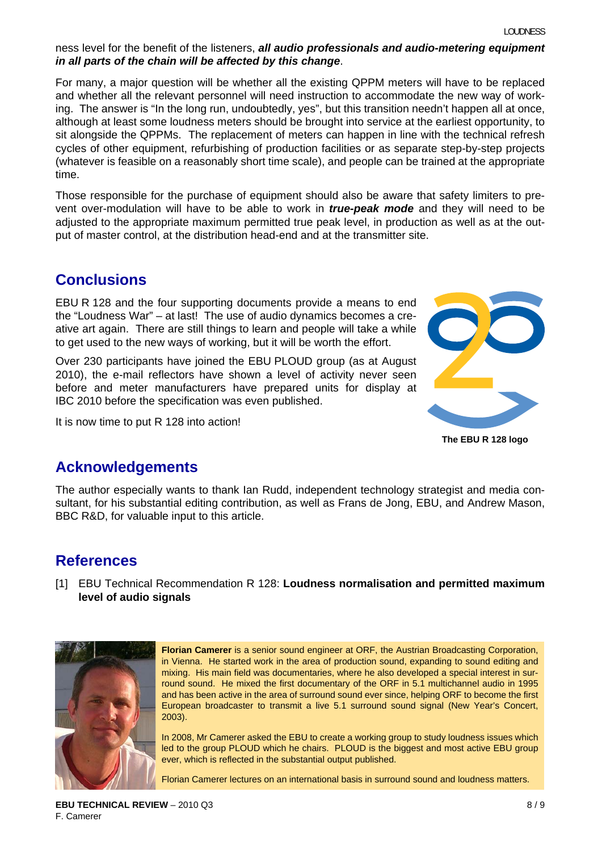#### ness level for the benefit of the listeners, *all audio professionals and audio-metering equipment in all parts of the chain will be affected by this change*.

For many, a major question will be whether all the existing QPPM meters will have to be replaced and whether all the relevant personnel will need instruction to accommodate the new way of working. The answer is "In the long run, undoubtedly, yes", but this transition needn't happen all at once, although at least some loudness meters should be brought into service at the earliest opportunity, to sit alongside the QPPMs. The replacement of meters can happen in line with the technical refresh cycles of other equipment, refurbishing of production facilities or as separate step-by-step projects (whatever is feasible on a reasonably short time scale), and people can be trained at the appropriate time.

Those responsible for the purchase of equipment should also be aware that safety limiters to prevent over-modulation will have to be able to work in *true-peak mode* and they will need to be adjusted to the appropriate maximum permitted true peak level, in production as well as at the output of master control, at the distribution head-end and at the transmitter site.

# **Conclusions**

EBU R 128 and the four supporting documents provide a means to end the "Loudness War" – at last! The use of audio dynamics becomes a creative art again. There are still things to learn and people will take a while to get used to the new ways of working, but it will be worth the effort.

Over 230 participants have joined the EBU PLOUD group (as at August 2010), the e-mail reflectors have shown a level of activity never seen before and meter manufacturers have prepared units for display at IBC 2010 before the specification was even published.

It is now time to put R 128 into action!



**The EBU R 128 logo**

#### **Acknowledgements**

The author especially wants to thank Ian Rudd, independent technology strategist and media consultant, for his substantial editing contribution, as well as Frans de Jong, EBU, and Andrew Mason, BBC R&D, for valuable input to this article.

# **References**

<span id="page-7-0"></span>[1] EBU Technical Recommendation R 128: **Loudness normalisation and permitted maximum level of audio signals**



**Florian Camerer** is a senior sound engineer at ORF, the Austrian Broadcasting Corporation, in Vienna. He started work in the area of production sound, expanding to sound editing and mixing. His main field was documentaries, where he also developed a special interest in surround sound. He mixed the first documentary of the ORF in 5.1 multichannel audio in 1995 and has been active in the area of surround sound ever since, helping ORF to become the first European broadcaster to transmit a live 5.1 surround sound signal (New Year's Concert, 2003).

In 2008, Mr Camerer asked the EBU to create a working group to study loudness issues which led to the group PLOUD which he chairs. PLOUD is the biggest and most active EBU group ever, which is reflected in the substantial output published.

Florian Camerer lectures on an international basis in surround sound and loudness matters.